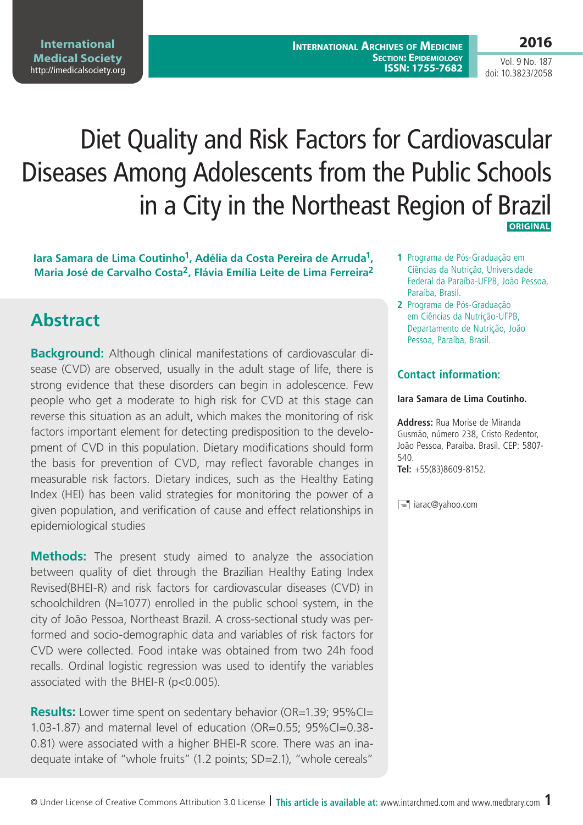# Diet Quality and Risk Factors for Cardiovascular Diseases Among Adolescents from the Public Schools in a City in the Northeast Region of Brazil  **ORIGINAL**

**Iara Samara de Lima Coutinho1, Adélia da Costa Pereira de Arruda1, Maria José de Carvalho Costa2, Flávia Emília Leite de Lima Ferreira2**

# **Abstract**

**Background:** Although clinical manifestations of cardiovascular disease (CVD) are observed, usually in the adult stage of life, there is strong evidence that these disorders can begin in adolescence. Few people who get a moderate to high risk for CVD at this stage can reverse this situation as an adult, which makes the monitoring of risk factors important element for detecting predisposition to the development of CVD in this population. Dietary modifications should form the basis for prevention of CVD, may reflect favorable changes in measurable risk factors. Dietary indices, such as the Healthy Eating Index (HEI) has been valid strategies for monitoring the power of a given population, and verification of cause and effect relationships in epidemiological studies

**Methods:** The present study aimed to analyze the association between quality of diet through the Brazilian Healthy Eating Index Revised(BHEI-R) and risk factors for cardiovascular diseases (CVD) in schoolchildren (N=1077) enrolled in the public school system, in the city of João Pessoa, Northeast Brazil. A cross-sectional study was performed and socio-demographic data and variables of risk factors for CVD were collected. Food intake was obtained from two 24h food recalls. Ordinal logistic regression was used to identify the variables associated with the BHEI-R (p<0.005).

**Results:** Lower time spent on sedentary behavior (OR=1.39; 95%CI= 1.03-1.87) and maternal level of education (OR=0.55; 95%CI=0.38- 0.81) were associated with a higher BHEI-R score. There was an inadequate intake of "whole fruits" (1.2 points; SD=2.1), "whole cereals"

- **1** Programa de Pós-Graduação em Ciências da Nutrição, Universidade Federal da Paraíba-UFPB, João Pessoa, Paraíba, Brasil.
- **2** Programa de Pós-Graduação em Ciências da Nutrição-UFPB, Departamento de Nutrição, João Pessoa, Paraíba, Brasil.

#### **Contact information:**

#### **Iara Samara de Lima Coutinho.**

**Address:** Rua Morise de Miranda Gusmão, número 238, Cristo Redentor, João Pessoa, Paraíba. Brasil. CEP: 5807- 540. **Tel:** +55(83)8609-8152.

 $\equiv$  iarac@yahoo.com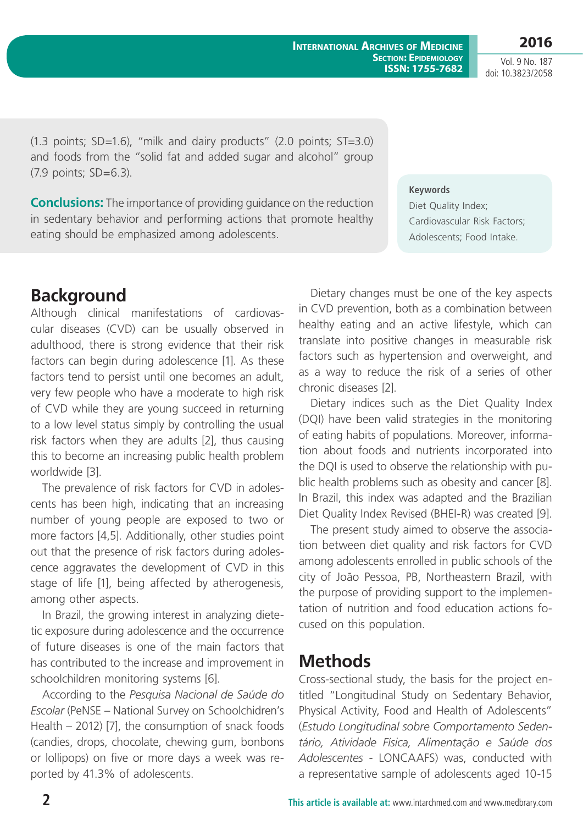(1.3 points; SD=1.6), "milk and dairy products" (2.0 points; ST=3.0) and foods from the "solid fat and added sugar and alcohol" group (7.9 points; SD=6.3).

**Conclusions:** The importance of providing guidance on the reduction in sedentary behavior and performing actions that promote healthy eating should be emphasized among adolescents.

Although clinical manifestations of cardiovascular diseases (CVD) can be usually observed in adulthood, there is strong evidence that their risk factors can begin during adolescence [1]. As these factors tend to persist until one becomes an adult, very few people who have a moderate to high risk of CVD while they are young succeed in returning to a low level status simply by controlling the usual risk factors when they are adults [2], thus causing this to become an increasing public health problem worldwide [3].

The prevalence of risk factors for CVD in adolescents has been high, indicating that an increasing number of young people are exposed to two or more factors [4,5]. Additionally, other studies point out that the presence of risk factors during adolescence aggravates the development of CVD in this stage of life [1], being affected by atherogenesis, among other aspects.

In Brazil, the growing interest in analyzing dietetic exposure during adolescence and the occurrence of future diseases is one of the main factors that has contributed to the increase and improvement in schoolchildren monitoring systems [6].

According to the *Pesquisa Nacional de Saúde do Escolar* (PeNSE – National Survey on Schoolchidren's Health – 2012) [7], the consumption of snack foods (candies, drops, chocolate, chewing gum, bonbons or lollipops) on five or more days a week was reported by 41.3% of adolescents.

Dietary changes must be one of the key aspects in CVD prevention, both as a combination between healthy eating and an active lifestyle, which can translate into positive changes in measurable risk factors such as hypertension and overweight, and as a way to reduce the risk of a series of other chronic diseases [2].

**Keywords**

Diet Quality Index;

Cardiovascular Risk Factors; Adolescents; Food Intake.

**International Archives of Medicine**

**Section: Epidemiology ISSN: 1755-7682**

Dietary indices such as the Diet Quality Index (DQI) have been valid strategies in the monitoring of eating habits of populations. Moreover, information about foods and nutrients incorporated into the DQI is used to observe the relationship with public health problems such as obesity and cancer [8]. In Brazil, this index was adapted and the Brazilian Diet Quality Index Revised (BHEI-R) was created [9].

The present study aimed to observe the association between diet quality and risk factors for CVD among adolescents enrolled in public schools of the city of João Pessoa, PB, Northeastern Brazil, with the purpose of providing support to the implementation of nutrition and food education actions focused on this population.

# **Methods**

Cross-sectional study, the basis for the project entitled "Longitudinal Study on Sedentary Behavior, Physical Activity, Food and Health of Adolescents" (*Estudo Longitudinal sobre Comportamento Sedentário, Atividade Física, Alimentação e Saúde dos Adolescentes* - LONCAAFS) was, conducted with a representative sample of adolescents aged 10-15

# **Background**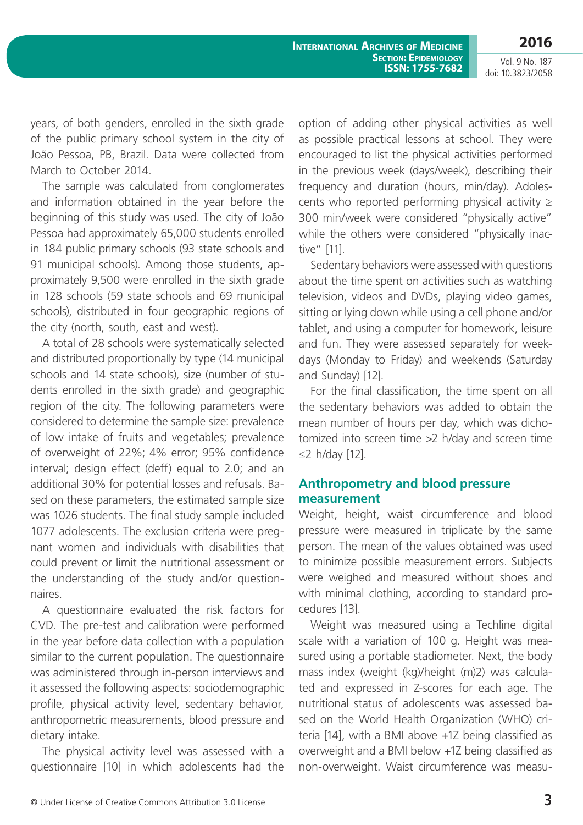**2016**

Vol. 9 No. 187 doi: 10.3823/2058

years, of both genders, enrolled in the sixth grade of the public primary school system in the city of João Pessoa, PB, Brazil. Data were collected from March to October 2014.

The sample was calculated from conglomerates and information obtained in the year before the beginning of this study was used. The city of João Pessoa had approximately 65,000 students enrolled in 184 public primary schools (93 state schools and 91 municipal schools). Among those students, approximately 9,500 were enrolled in the sixth grade in 128 schools (59 state schools and 69 municipal schools), distributed in four geographic regions of the city (north, south, east and west).

A total of 28 schools were systematically selected and distributed proportionally by type (14 municipal schools and 14 state schools), size (number of students enrolled in the sixth grade) and geographic region of the city. The following parameters were considered to determine the sample size: prevalence of low intake of fruits and vegetables; prevalence of overweight of 22%; 4% error; 95% confidence interval; design effect (deff) equal to 2.0; and an additional 30% for potential losses and refusals. Based on these parameters, the estimated sample size was 1026 students. The final study sample included 1077 adolescents. The exclusion criteria were pregnant women and individuals with disabilities that could prevent or limit the nutritional assessment or the understanding of the study and/or questionnaires.

A questionnaire evaluated the risk factors for CVD. The pre-test and calibration were performed in the year before data collection with a population similar to the current population. The questionnaire was administered through in-person interviews and it assessed the following aspects: sociodemographic profile, physical activity level, sedentary behavior, anthropometric measurements, blood pressure and dietary intake.

The physical activity level was assessed with a questionnaire [10] in which adolescents had the option of adding other physical activities as well as possible practical lessons at school. They were encouraged to list the physical activities performed in the previous week (days/week), describing their frequency and duration (hours, min/day). Adolescents who reported performing physical activity  $\geq$ 300 min/week were considered "physically active" while the others were considered "physically inactive" [11].

Sedentary behaviors were assessed with questions about the time spent on activities such as watching television, videos and DVDs, playing video games, sitting or lying down while using a cell phone and/or tablet, and using a computer for homework, leisure and fun. They were assessed separately for weekdays (Monday to Friday) and weekends (Saturday and Sunday) [12].

For the final classification, the time spent on all the sedentary behaviors was added to obtain the mean number of hours per day, which was dichotomized into screen time >2 h/day and screen time ≤2 h/day [12].

#### **Anthropometry and blood pressure measurement**

Weight, height, waist circumference and blood pressure were measured in triplicate by the same person. The mean of the values obtained was used to minimize possible measurement errors. Subjects were weighed and measured without shoes and with minimal clothing, according to standard procedures [13].

Weight was measured using a Techline digital scale with a variation of 100 g. Height was measured using a portable stadiometer. Next, the body mass index (weight (kg)/height (m)2) was calculated and expressed in Z-scores for each age. The nutritional status of adolescents was assessed based on the World Health Organization (WHO) criteria [14], with a BMI above +1Z being classified as overweight and a BMI below +1Z being classified as non-overweight. Waist circumference was measu-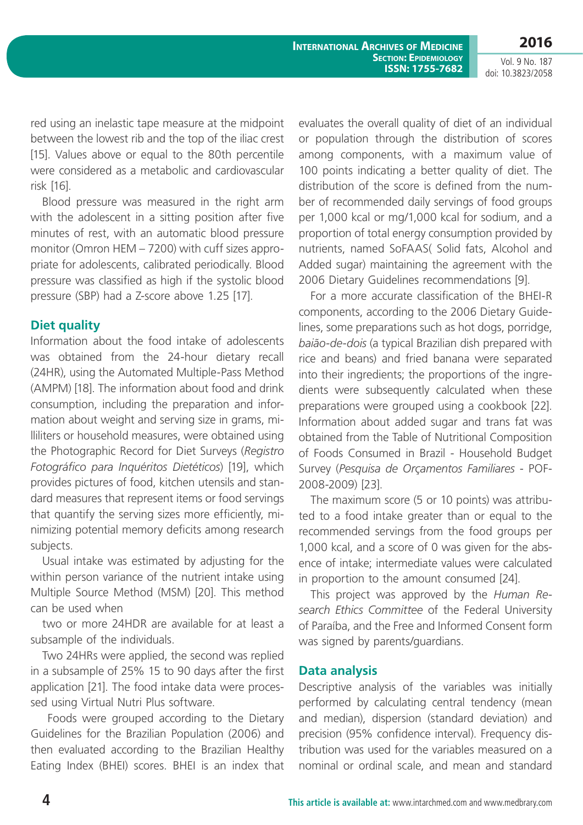**International Archives of Medicine Section: Epidemiology ISSN: 1755-7682**

**2016** Vol. 9 No. 187

doi: 10.3823/2058

red using an inelastic tape measure at the midpoint between the lowest rib and the top of the iliac crest [15]. Values above or equal to the 80th percentile were considered as a metabolic and cardiovascular risk [16].

Blood pressure was measured in the right arm with the adolescent in a sitting position after five minutes of rest, with an automatic blood pressure monitor (Omron HEM – 7200) with cuff sizes appropriate for adolescents, calibrated periodically. Blood pressure was classified as high if the systolic blood pressure (SBP) had a Z-score above 1.25 [17].

#### **Diet quality**

Information about the food intake of adolescents was obtained from the 24-hour dietary recall (24HR), using the Automated Multiple-Pass Method (AMPM) [18]. The information about food and drink consumption, including the preparation and information about weight and serving size in grams, milliliters or household measures, were obtained using the Photographic Record for Diet Surveys (*Registro Fotográfico para Inquéritos Dietéticos*) [19], which provides pictures of food, kitchen utensils and standard measures that represent items or food servings that quantify the serving sizes more efficiently, minimizing potential memory deficits among research subjects.

Usual intake was estimated by adjusting for the within person variance of the nutrient intake using Multiple Source Method (MSM) [20]. This method can be used when

two or more 24HDR are available for at least a subsample of the individuals.

Two 24HRs were applied, the second was replied in a subsample of 25% 15 to 90 days after the first application [21]. The food intake data were processed using Virtual Nutri Plus software.

 Foods were grouped according to the Dietary Guidelines for the Brazilian Population (2006) and then evaluated according to the Brazilian Healthy Eating Index (BHEI) scores. BHEI is an index that evaluates the overall quality of diet of an individual or population through the distribution of scores among components, with a maximum value of 100 points indicating a better quality of diet. The distribution of the score is defined from the number of recommended daily servings of food groups per 1,000 kcal or mg/1,000 kcal for sodium, and a proportion of total energy consumption provided by nutrients, named SoFAAS( Solid fats, Alcohol and Added sugar) maintaining the agreement with the 2006 Dietary Guidelines recommendations [9].

For a more accurate classification of the BHEI-R components, according to the 2006 Dietary Guidelines, some preparations such as hot dogs, porridge, *baião-de-dois* (a typical Brazilian dish prepared with rice and beans) and fried banana were separated into their ingredients; the proportions of the ingredients were subsequently calculated when these preparations were grouped using a cookbook [22]. Information about added sugar and trans fat was obtained from the Table of Nutritional Composition of Foods Consumed in Brazil - Household Budget Survey (*Pesquisa de Orçamentos Familiares* - POF-2008-2009) [23].

The maximum score (5 or 10 points) was attributed to a food intake greater than or equal to the recommended servings from the food groups per 1,000 kcal, and a score of 0 was given for the absence of intake; intermediate values were calculated in proportion to the amount consumed [24].

This project was approved by the *Human Research Ethics Committee* of the Federal University of Paraíba, and the Free and Informed Consent form was signed by parents/guardians.

#### **Data analysis**

Descriptive analysis of the variables was initially performed by calculating central tendency (mean and median), dispersion (standard deviation) and precision (95% confidence interval). Frequency distribution was used for the variables measured on a nominal or ordinal scale, and mean and standard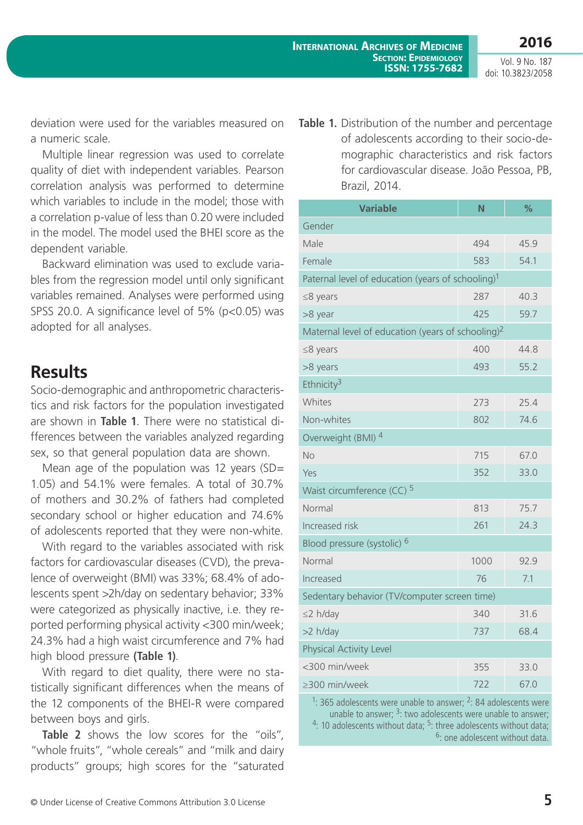**2016**

deviation were used for the variables measured on a numeric scale.

Multiple linear regression was used to correlate quality of diet with independent variables. Pearson correlation analysis was performed to determine which variables to include in the model; those with a correlation p-value of less than 0.20 were included in the model. The model used the BHEI score as the dependent variable.

Backward elimination was used to exclude variables from the regression model until only significant variables remained. Analyses were performed using SPSS 20.0. A significance level of 5% (p<0.05) was adopted for all analyses.

### **Results**

Socio-demographic and anthropometric characteristics and risk factors for the population investigated are shown in **Table 1**. There were no statistical differences between the variables analyzed regarding sex, so that general population data are shown.

Mean age of the population was 12 years (SD= 1.05) and 54.1% were females. A total of 30.7% of mothers and 30.2% of fathers had completed secondary school or higher education and 74.6% of adolescents reported that they were non-white.

With regard to the variables associated with risk factors for cardiovascular diseases (CVD), the prevalence of overweight (BMI) was 33%; 68.4% of adolescents spent >2h/day on sedentary behavior; 33% were categorized as physically inactive, i.e. they reported performing physical activity <300 min/week; 24.3% had a high waist circumference and 7% had high blood pressure **(Table 1)**.

With regard to diet quality, there were no statistically significant differences when the means of the 12 components of the BHEI-R were compared between boys and girls.

**Table 2** shows the low scores for the "oils", "whole fruits", "whole cereals" and "milk and dairy products" groups; high scores for the "saturated **Table 1.** Distribution of the number and percentage of adolescents according to their socio-demographic characteristics and risk factors for cardiovascular disease. João Pessoa, PB, Brazil, 2014.

| <b>Variable</b>                                               | Ñ    | $\frac{9}{6}$ |  |  |  |  |
|---------------------------------------------------------------|------|---------------|--|--|--|--|
| Gender                                                        |      |               |  |  |  |  |
| Male                                                          | 494  | 45.9          |  |  |  |  |
| Female                                                        | 583  | 54.1          |  |  |  |  |
| Paternal level of education (years of schooling) <sup>1</sup> |      |               |  |  |  |  |
| ≤8 years                                                      | 287  | 40.3          |  |  |  |  |
| >8 year                                                       | 425  | 59.7          |  |  |  |  |
| Maternal level of education (years of schooling) <sup>2</sup> |      |               |  |  |  |  |
| ≤8 years                                                      | 400  | 44.8          |  |  |  |  |
| >8 years                                                      | 493  | 55.2          |  |  |  |  |
| Ethnicity <sup>3</sup>                                        |      |               |  |  |  |  |
| Whites                                                        | 273  | 25.4          |  |  |  |  |
| Non-whites                                                    | 802  | 74.6          |  |  |  |  |
| Overweight (BMI) <sup>4</sup>                                 |      |               |  |  |  |  |
| No                                                            | 715  | 67.0          |  |  |  |  |
| Yes                                                           | 352  | 33.0          |  |  |  |  |
| Waist circumference (CC) <sup>5</sup>                         |      |               |  |  |  |  |
| Normal                                                        | 813  | 75.7          |  |  |  |  |
| Increased risk                                                | 261  | 24.3          |  |  |  |  |
| Blood pressure (systolic) <sup>6</sup>                        |      |               |  |  |  |  |
| Normal                                                        | 1000 | 92.9          |  |  |  |  |
| Increased                                                     | 76   | 7.1           |  |  |  |  |
| Sedentary behavior (TV/computer screen time)                  |      |               |  |  |  |  |
| $\leq$ 2 h/day                                                | 340  | 31.6          |  |  |  |  |
| >2 h/day                                                      | 737  | 68.4          |  |  |  |  |
| <b>Physical Activity Level</b>                                |      |               |  |  |  |  |
| <300 min/week                                                 | 355  | 33.0          |  |  |  |  |
| $\geq$ 300 min/week                                           | 722  | 67.0          |  |  |  |  |

 $1:365$  adolescents were unable to answer;  $2:84$  adolescents were unable to answer;  $3$ : two adolescents were unable to answer; <sup>4</sup>: 10 adolescents without data; <sup>5</sup>: three adolescents without data; 6: one adolescent without data.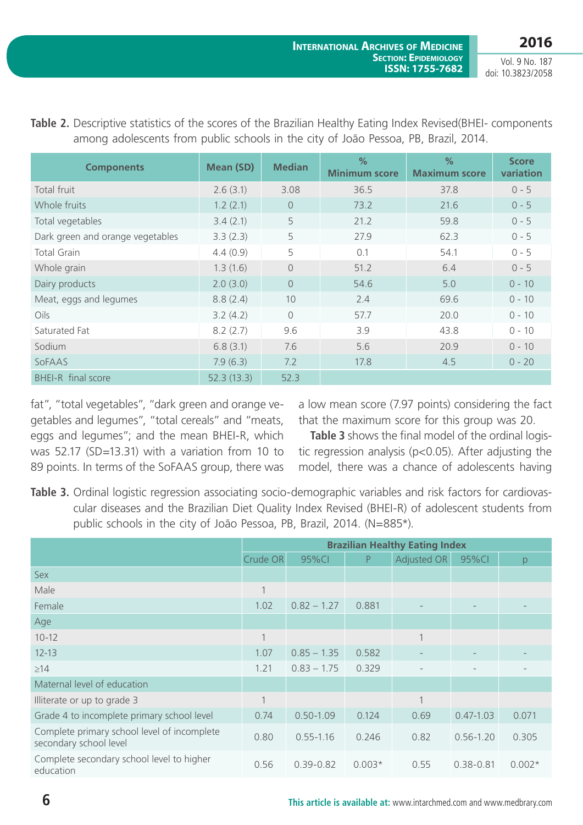**2016** Vol. 9 No. 187

doi: 10.3823/2058

| <b>Components</b>                | <b>Mean (SD)</b> | <b>Median</b>  | $\%$<br><b>Minimum score</b> | $\frac{0}{2}$<br><b>Maximum score</b> | <b>Score</b><br>variation |
|----------------------------------|------------------|----------------|------------------------------|---------------------------------------|---------------------------|
| Total fruit                      | 2.6(3.1)         | 3.08           | 36.5                         | 37.8                                  | $0 - 5$                   |
| Whole fruits                     | 1.2(2.1)         | $\Omega$       | 73.2                         | 21.6                                  | $0 - 5$                   |
| Total vegetables                 | 3.4(2.1)         | 5              | 21.2                         | 59.8                                  | $0 - 5$                   |
| Dark green and orange vegetables | 3.3(2.3)         | 5              | 27.9                         | 62.3                                  | $0 - 5$                   |
| <b>Total Grain</b>               | 4.4(0.9)         | 5              | 0.1                          | 54.1                                  | $0 - 5$                   |
| Whole grain                      | 1.3(1.6)         | $\overline{0}$ | 51.2                         | 6.4                                   | $0 - 5$                   |
| Dairy products                   | 2.0(3.0)         | $\overline{0}$ | 54.6                         | 5.0                                   | $0 - 10$                  |
| Meat, eggs and legumes           | 8.8(2.4)         | 10             | 2.4                          | 69.6                                  | $0 - 10$                  |
| Oils                             | 3.2(4.2)         | $\bigcap$      | 57.7                         | 20.0                                  | $0 - 10$                  |
| Saturated Fat                    | 8.2(2.7)         | 9.6            | 3.9                          | 43.8                                  | $0 - 10$                  |
| Sodium                           | 6.8(3.1)         | 7.6            | 5.6                          | 20.9                                  | $0 - 10$                  |
| SoFAAS                           | 7.9(6.3)         | 7.2            | 17.8                         | 4.5                                   | $0 - 20$                  |
| BHEI-R final score               | 52.3(13.3)       | 52.3           |                              |                                       |                           |

**Table 2.** Descriptive statistics of the scores of the Brazilian Healthy Eating Index Revised(BHEI- components among adolescents from public schools in the city of João Pessoa, PB, Brazil, 2014.

fat", "total vegetables", "dark green and orange vegetables and legumes", "total cereals" and "meats, eggs and legumes"; and the mean BHEI-R, which was 52.17 (SD=13.31) with a variation from 10 to 89 points. In terms of the SoFAAS group, there was a low mean score (7.97 points) considering the fact that the maximum score for this group was 20.

**Table 3** shows the final model of the ordinal logistic regression analysis (p<0.05). After adjusting the model, there was a chance of adolescents having

**Table 3.** Ordinal logistic regression associating socio-demographic variables and risk factors for cardiovascular diseases and the Brazilian Diet Quality Index Revised (BHEI-R) of adolescent students from public schools in the city of João Pessoa, PB, Brazil, 2014. (N=885\*).

|                                                                       | <b>Brazilian Healthy Eating Index</b> |               |          |             |               |          |
|-----------------------------------------------------------------------|---------------------------------------|---------------|----------|-------------|---------------|----------|
|                                                                       | Crude OR                              | 95%CI         | P        | Adjusted OR | 95%CI         | p        |
| <b>Sex</b>                                                            |                                       |               |          |             |               |          |
| Male                                                                  | 1                                     |               |          |             |               |          |
| Female                                                                | 1.02                                  | $0.82 - 1.27$ | 0.881    |             |               |          |
| Age                                                                   |                                       |               |          |             |               |          |
| $10 - 12$                                                             |                                       |               |          | 1           |               |          |
| $12 - 13$                                                             | 1.07                                  | $0.85 - 1.35$ | 0.582    |             |               |          |
| $\geq$ 14                                                             | 1.21                                  | $0.83 - 1.75$ | 0.329    |             |               |          |
| Maternal level of education                                           |                                       |               |          |             |               |          |
| Illiterate or up to grade 3                                           |                                       |               |          | $\mathbf 1$ |               |          |
| Grade 4 to incomplete primary school level                            | 0.74                                  | $0.50 - 1.09$ | 0.124    | 0.69        | $0.47 - 1.03$ | 0.071    |
| Complete primary school level of incomplete<br>secondary school level | 0.80                                  | $0.55 - 1.16$ | 0.246    | 0.82        | $0.56 - 1.20$ | 0.305    |
| Complete secondary school level to higher<br>education                | 0.56                                  | $0.39 - 0.82$ | $0.003*$ | 0.55        | $0.38 - 0.81$ | $0.002*$ |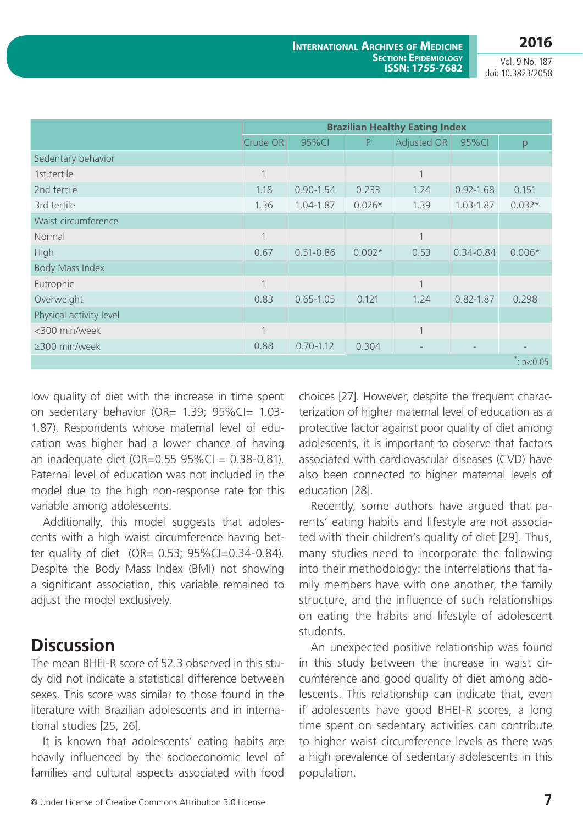|                         | <b>Brazilian Healthy Eating Index</b> |               |          |                |               |                       |
|-------------------------|---------------------------------------|---------------|----------|----------------|---------------|-----------------------|
|                         | Crude OR                              | 95%CI         | P        | Adjusted OR    | 95%CI         | p                     |
| Sedentary behavior      |                                       |               |          |                |               |                       |
| 1st tertile             |                                       |               |          | $\mathbf{1}$   |               |                       |
| 2nd tertile             | 1.18                                  | $0.90 - 1.54$ | 0.233    | 1.24           | $0.92 - 1.68$ | 0.151                 |
| 3rd tertile             | 1.36                                  | 1.04-1.87     | $0.026*$ | 1.39           | 1.03-1.87     | $0.032*$              |
| Waist circumference     |                                       |               |          |                |               |                       |
| Normal                  |                                       |               |          | $\mathbf 1$    |               |                       |
| High                    | 0.67                                  | $0.51 - 0.86$ | $0.002*$ | 0.53           | $0.34 - 0.84$ | $0.006*$              |
| <b>Body Mass Index</b>  |                                       |               |          |                |               |                       |
| Eutrophic               |                                       |               |          | $\overline{1}$ |               |                       |
| Overweight              | 0.83                                  | $0.65 - 1.05$ | 0.121    | 1.24           | $0.82 - 1.87$ | 0.298                 |
| Physical activity level |                                       |               |          |                |               |                       |
| <300 min/week           |                                       |               |          | 1              |               |                       |
| ≥300 min/week           | 0.88                                  | $0.70 - 1.12$ | 0.304    |                |               |                       |
|                         |                                       |               |          |                |               | $\therefore$ p < 0.05 |

low quality of diet with the increase in time spent on sedentary behavior (OR= 1.39; 95%CI= 1.03-1.87). Respondents whose maternal level of education was higher had a lower chance of having an inadequate diet  $(OR=0.55 95\%C) = 0.38-0.81$ . Paternal level of education was not included in the model due to the high non-response rate for this variable among adolescents.

Additionally, this model suggests that adolescents with a high waist circumference having better quality of diet (OR= 0.53; 95%CI=0.34-0.84). Despite the Body Mass Index (BMI) not showing a significant association, this variable remained to adjust the model exclusively.

# **Discussion**

The mean BHEI-R score of 52.3 observed in this study did not indicate a statistical difference between sexes. This score was similar to those found in the literature with Brazilian adolescents and in international studies [25, 26].

It is known that adolescents' eating habits are heavily influenced by the socioeconomic level of families and cultural aspects associated with food choices [27]. However, despite the frequent characterization of higher maternal level of education as a protective factor against poor quality of diet among adolescents, it is important to observe that factors associated with cardiovascular diseases (CVD) have also been connected to higher maternal levels of education [28].

Recently, some authors have argued that parents' eating habits and lifestyle are not associated with their children's quality of diet [29]. Thus, many studies need to incorporate the following into their methodology: the interrelations that family members have with one another, the family structure, and the influence of such relationships on eating the habits and lifestyle of adolescent students.

An unexpected positive relationship was found in this study between the increase in waist circumference and good quality of diet among adolescents. This relationship can indicate that, even if adolescents have good BHEI-R scores, a long time spent on sedentary activities can contribute to higher waist circumference levels as there was a high prevalence of sedentary adolescents in this population.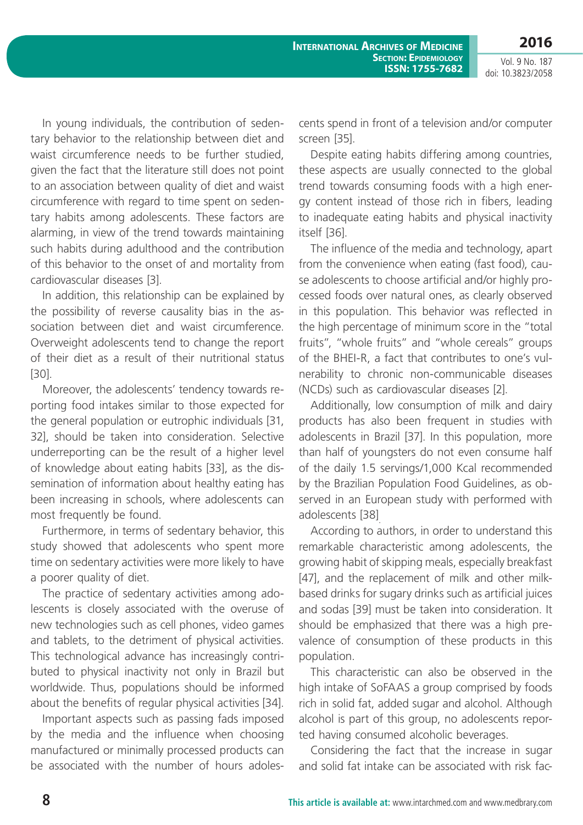**2016**

Vol. 9 No. 187 doi: 10.3823/2058

In young individuals, the contribution of sedentary behavior to the relationship between diet and waist circumference needs to be further studied, given the fact that the literature still does not point to an association between quality of diet and waist circumference with regard to time spent on sedentary habits among adolescents. These factors are alarming, in view of the trend towards maintaining such habits during adulthood and the contribution of this behavior to the onset of and mortality from cardiovascular diseases [3].

In addition, this relationship can be explained by the possibility of reverse causality bias in the association between diet and waist circumference. Overweight adolescents tend to change the report of their diet as a result of their nutritional status [30].

Moreover, the adolescents' tendency towards reporting food intakes similar to those expected for the general population or eutrophic individuals [31, 32], should be taken into consideration. Selective underreporting can be the result of a higher level of knowledge about eating habits [33], as the dissemination of information about healthy eating has been increasing in schools, where adolescents can most frequently be found.

Furthermore, in terms of sedentary behavior, this study showed that adolescents who spent more time on sedentary activities were more likely to have a poorer quality of diet.

The practice of sedentary activities among adolescents is closely associated with the overuse of new technologies such as cell phones, video games and tablets, to the detriment of physical activities. This technological advance has increasingly contributed to physical inactivity not only in Brazil but worldwide. Thus, populations should be informed about the benefits of regular physical activities [34].

Important aspects such as passing fads imposed by the media and the influence when choosing manufactured or minimally processed products can be associated with the number of hours adolescents spend in front of a television and/or computer screen [35].

Despite eating habits differing among countries, these aspects are usually connected to the global trend towards consuming foods with a high energy content instead of those rich in fibers, leading to inadequate eating habits and physical inactivity itself [36].

The influence of the media and technology, apart from the convenience when eating (fast food), cause adolescents to choose artificial and/or highly processed foods over natural ones, as clearly observed in this population. This behavior was reflected in the high percentage of minimum score in the "total fruits", "whole fruits" and "whole cereals" groups of the BHEI-R, a fact that contributes to one's vulnerability to chronic non-communicable diseases (NCDs) such as cardiovascular diseases [2].

Additionally, low consumption of milk and dairy products has also been frequent in studies with adolescents in Brazil [37]. In this population, more than half of youngsters do not even consume half of the daily 1.5 servings/1,000 Kcal recommended by the Brazilian Population Food Guidelines, as observed in an European study with performed with adolescents [38].

According to authors, in order to understand this remarkable characteristic among adolescents, the growing habit of skipping meals, especially breakfast [47], and the replacement of milk and other milkbased drinks for sugary drinks such as artificial juices and sodas [39] must be taken into consideration. It should be emphasized that there was a high prevalence of consumption of these products in this population.

This characteristic can also be observed in the high intake of SoFAAS a group comprised by foods rich in solid fat, added sugar and alcohol. Although alcohol is part of this group, no adolescents reported having consumed alcoholic beverages.

Considering the fact that the increase in sugar and solid fat intake can be associated with risk fac-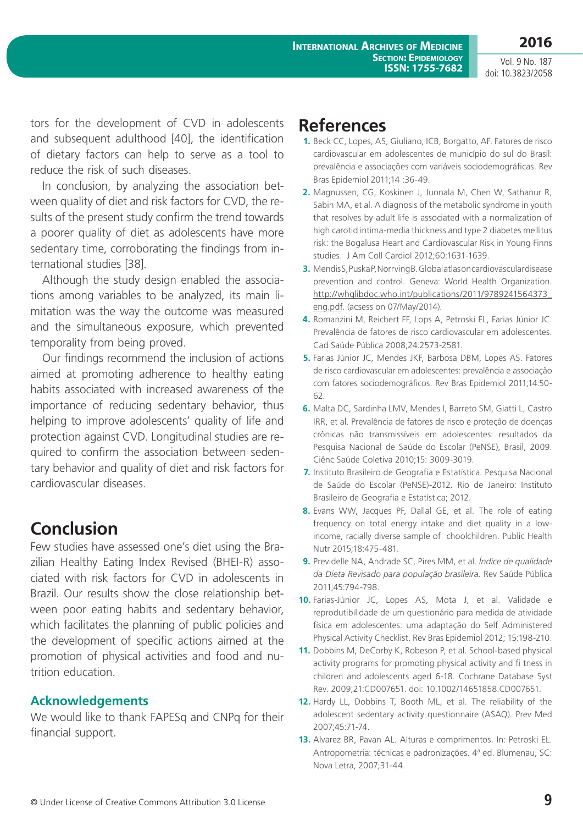**2016**

tors for the development of CVD in adolescents and subsequent adulthood [40], the identification of dietary factors can help to serve as a tool to reduce the risk of such diseases.

In conclusion, by analyzing the association between quality of diet and risk factors for CVD, the results of the present study confirm the trend towards a poorer quality of diet as adolescents have more sedentary time, corroborating the findings from international studies [38].

Although the study design enabled the associations among variables to be analyzed, its main limitation was the way the outcome was measured and the simultaneous exposure, which prevented temporality from being proved.

Our findings recommend the inclusion of actions aimed at promoting adherence to healthy eating habits associated with increased awareness of the importance of reducing sedentary behavior, thus helping to improve adolescents' quality of life and protection against CVD. Longitudinal studies are required to confirm the association between sedentary behavior and quality of diet and risk factors for cardiovascular diseases.

# **Conclusion**

Few studies have assessed one's diet using the Brazilian Healthy Eating Index Revised (BHEI-R) associated with risk factors for CVD in adolescents in Brazil. Our results show the close relationship between poor eating habits and sedentary behavior, which facilitates the planning of public policies and the development of specific actions aimed at the promotion of physical activities and food and nutrition education.

### **Acknowledgements**

We would like to thank FAPESq and CNPq for their financial support.

## **References**

- **1.** Beck CC, Lopes, AS, Giuliano, ICB, Borgatto, AF. Fatores de risco cardiovascular em adolescentes de município do sul do Brasil: prevalência e associações com variáveis sociodemográficas. Rev Bras Epidemiol 2011;14 :36-49.
- **2.** Magnussen, CG, Koskinen J, Juonala M, Chen W, Sathanur R, Sabin MA, et al. A diagnosis of the metabolic syndrome in youth that resolves by adult life is associated with a normalization of high carotid intima-media thickness and type 2 diabetes mellitus risk: the Bogalusa Heart and Cardiovascular Risk in Young Finns studies. J Am Coll Cardiol 2012;60:1631-1639.
- **3.** Mendis S, Puska P, Norrving B. Global atlas on cardiovas cular disease prevention and control. Geneva: World Health Organization. [http://whqlibdoc.who.int/publications/2011/9789241564373\\_](http://whqlibdoc.who.int/publications/2011/9789241564373_eng.pdf) [eng.pdf.](http://whqlibdoc.who.int/publications/2011/9789241564373_eng.pdf) (acsess on 07/May/2014).
- **4.** Romanzini M, Reichert FF, Lops A, Petroski EL, Farias Júnior JC. Prevalência de fatores de risco cardiovascular em adolescentes. Cad Saúde Pública 2008;24:2573-2581.
- **5.** Farias Júnior JC, Mendes JKF, Barbosa DBM, Lopes AS. Fatores de risco cardiovascular em adolescentes: prevalência e associação com fatores sociodemográficos. Rev Bras Epidemiol 2011;14:50- 62.
- **6.** Malta DC, Sardinha LMV, Mendes I, Barreto SM, Giatti L, Castro IRR, et al. Prevalência de fatores de risco e proteção de doenças crônicas não transmissíveis em adolescentes: resultados da Pesquisa Nacional de Saúde do Escolar (PeNSE), Brasil, 2009. Ciênc Saúde Coletiva 2010;15: 3009-3019.
- **7.** Instituto Brasileiro de Geografia e Estatística. Pesquisa Nacional de Saúde do Escolar (PeNSE)-2012. Rio de Janeiro: Instituto Brasileiro de Geografia e Estatística; 2012.
- **8.** Evans WW, Jacques PF, Dallal GE, et al. The role of eating frequency on total energy intake and diet quality in a lowincome, racially diverse sample of choolchildren. Public Health Nutr 2015;18:475-481.
- **9.** Previdelle NA, Andrade SC, Pires MM, et al. *Índice de qualidade da Dieta Revisado para população brasileira.* Rev Saúde Pública 2011;45:794-798.
- **10.** Farias-Júnior JC, Lopes AS, Mota J, et al. Validade e reprodutibilidade de um questionário para medida de atividade física em adolescentes: uma adaptação do Self Administered Physical Activity Checklist. Rev Bras Epidemiol 2012; 15:198-210.
- **11.** Dobbins M, DeCorby K, Robeson P, et al. School-based physical activity programs for promoting physical activity and fi tness in children and adolescents aged 6-18. Cochrane Database Syst Rev. 2009;21:CD007651. doi: 10.1002/14651858.CD007651.
- **12.** Hardy LL, Dobbins T, Booth ML, et al. The reliability of the adolescent sedentary activity questionnaire (ASAQ). Prev Med 2007;45:71-74.
- **13.** Alvarez BR, Pavan AL. Alturas e comprimentos. In: Petroski EL. Antropometria: técnicas e padronizações. 4ª ed. Blumenau, SC: Nova Letra, 2007;31-44.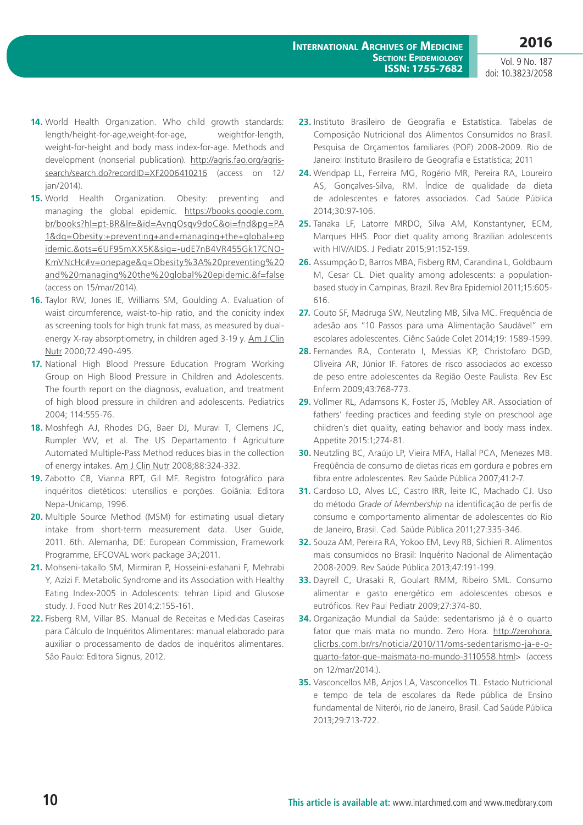- **14.** World Health Organization. Who child growth standards: length/height-for-age,weight-for-age, weightfor-length, weight-for-height and body mass index-for-age. Methods and development (nonserial publication). [http://agris.fao.org/agris](http://agris.fao.org/agris-search/search.do?recordID=XF2006410216)[search/search.do?recordID=XF2006410216](http://agris.fao.org/agris-search/search.do?recordID=XF2006410216) (access on 12/ jan/2014).
- **15.** World Health Organization. Obesity: preventing and managing the global epidemic. https://books.google.com. br/books?hl=pt-BR&lr=&id=AvnqOsqv9doC&oi=fnd&pg=PA 1&dq=Obesity:+preventing+and+managing+the+global+ep idemic.&ots=6UF95mXX5K&sig=-udE7nB4VR455Gk17CNO-KmVNcHc#v=onepage&q=Obesity%3A%20preventing%20 and%20managing%20the%20global%20epidemic.&f=false (access on 15/mar/2014).
- **16.** Taylor RW, Jones IE, Williams SM, Goulding A. Evaluation of waist circumference, waist-to-hip ratio, and the conicity index as screening tools for high trunk fat mass, as measured by dualenergy X-ray absorptiometry, in children aged 3-19 y. [Am J Clin](http://www.ajcn.org/) [Nutr](http://www.ajcn.org/) 2000;72:490-495.
- **17.** National High Blood Pressure Education Program Working Group on High Blood Pressure in Children and Adolescents. The fourth report on the diagnosis, evaluation, and treatment of high blood pressure in children and adolescents. Pediatrics 2004; 114:555-76.
- **18.** Moshfegh AJ, Rhodes DG, Baer DJ, Muravi T, Clemens JC, Rumpler WV, et al. The US Departamento f Agriculture Automated Multiple-Pass Method reduces bias in the collection of energy intakes. [Am J Clin Nutr](http://www.ajcn.org/) 2008;88:324-332.
- **19.** Zabotto CB, Vianna RPT, Gil MF. Registro fotográfico para inquéritos dietéticos: utensílios e porções. Goiânia: Editora Nepa-Unicamp, 1996.
- **20.** Multiple Source Method (MSM) for estimating usual dietary intake from short-term measurement data. User Guide, 2011. 6th. Alemanha, DE: European Commission, Framework Programme, EFCOVAL work package 3A;2011.
- **21.** Mohseni-takallo SM, Mirmiran P, Hosseini-esfahani F, Mehrabi Y, Azizi F. Metabolic Syndrome and its Association with Healthy Eating Index-2005 in Adolescents: tehran Lipid and Glusose study. J. Food Nutr Res 2014;2:155-161.
- **22.** Fisberg RM, Villar BS. Manual de Receitas e Medidas Caseiras para Cálculo de Inquéritos Alimentares: manual elaborado para auxiliar o processamento de dados de inquéritos alimentares. São Paulo: Editora Signus, 2012.
- **23.** Instituto Brasileiro de Geografia e Estatística. Tabelas de Composição Nutricional dos Alimentos Consumidos no Brasil. Pesquisa de Orçamentos familiares (POF) 2008-2009. Rio de Janeiro: Instituto Brasileiro de Geografia e Estatística; 2011
- **24.** Wendpap LL, Ferreira MG, Rogério MR, Pereira RA, Loureiro AS, Gonçalves-Silva, RM. Índice de qualidade da dieta de adolescentes e fatores associados. Cad Saúde Pública 2014;30:97-106.
- **25.** Tanaka LF, Latorre MRDO, Silva AM, Konstantyner, ECM, Marques HHS. Poor diet quality among Brazilian adolescents with HIV/AIDS. J Pediatr 2015;91:152-159.
- **26.** Assumpção D, Barros MBA, Fisberg RM, Carandina L, Goldbaum M, Cesar CL. Diet quality among adolescents: a populationbased study in Campinas, Brazil. Rev Bra Epidemiol 2011;15:605- 616.
- **27.** Couto SF, Madruga SW, Neutzling MB, Silva MC. Frequência de adesão aos "10 Passos para uma Alimentação Saudável" em escolares adolescentes. Ciênc Saúde Colet 2014;19: 1589-1599.
- **28.** Fernandes RA, Conterato I, Messias KP, Christofaro DGD, Oliveira AR, Júnior IF. Fatores de risco associados ao excesso de peso entre adolescentes da Região Oeste Paulista. Rev Esc Enferm 2009;43:768-773.
- **29.** Vollmer RL, Adamsons K, Foster JS, Mobley AR. Association of fathers' feeding practices and feeding style on preschool age children's diet quality, eating behavior and body mass index. Appetite 2015:1;274-81.
- **30.** Neutzling BC, Araújo LP, Vieira MFA, Hallal PCA, Menezes MB. Freqüência de consumo de dietas ricas em gordura e pobres em fibra entre adolescentes. Rev Saúde Pública 2007;41:2-7.
- **31.** Cardoso LO, Alves LC, Castro IRR, leite IC, Machado CJ. Uso do método *Grade of Membership* na identificação de perfis de consumo e comportamento alimentar de adolescentes do Rio de Janeiro, Brasil. Cad. Saúde Pública 2011;27:335-346.
- **32.** Souza AM, Pereira RA, Yokoo EM, Levy RB, Sichieri R. Alimentos mais consumidos no Brasil: Inquérito Nacional de Alimentação 2008-2009. Rev Saúde Pública 2013;47:191-199.
- **33.** Dayrell C, Urasaki R, Goulart RMM, Ribeiro SML. Consumo alimentar e gasto energético em adolescentes obesos e eutróficos. Rev Paul Pediatr 2009;27:374-80.
- **34.** Organização Mundial da Saúde: sedentarismo já é o quarto fator que mais mata no mundo. Zero Hora. [http://zerohora.](http://zerohora.clicrbs.com.br/rs/noticia/2010/11/oms-sedentarismo-ja-e-o-quarto-fator-que-maismata-no-mundo-3110558.html) [clicrbs.com.br/rs/noticia/2010/11/oms-sedentarismo-ja-e-o](http://zerohora.clicrbs.com.br/rs/noticia/2010/11/oms-sedentarismo-ja-e-o-quarto-fator-que-maismata-no-mundo-3110558.html)[quarto-fator-que-maismata-no-mundo-3110558.html](http://zerohora.clicrbs.com.br/rs/noticia/2010/11/oms-sedentarismo-ja-e-o-quarto-fator-que-maismata-no-mundo-3110558.html)> (access on 12/mar/2014.).
- **35.** Vasconcellos MB, Anjos LA, Vasconcellos TL. Estado Nutricional e tempo de tela de escolares da Rede pública de Ensino fundamental de Niterói, rio de Janeiro, Brasil. Cad Saúde Pública 2013;29:713-722.